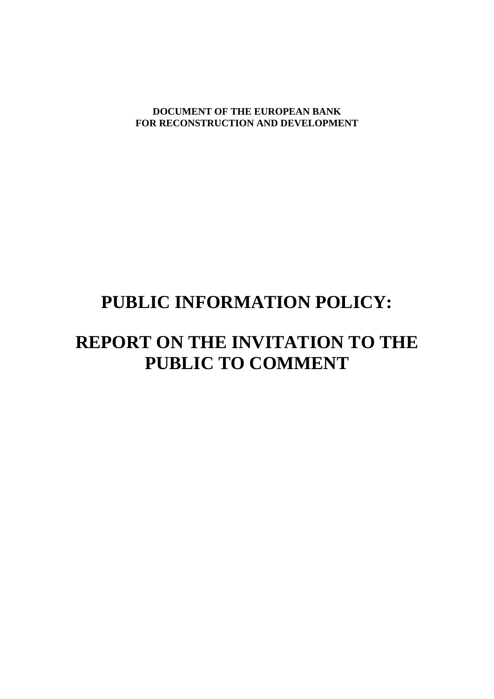**DOCUMENT OF THE EUROPEAN BANK FOR RECONSTRUCTION AND DEVELOPMENT**

## **PUBLIC INFORMATION POLICY:**

## **REPORT ON THE INVITATION TO THE PUBLIC TO COMMENT**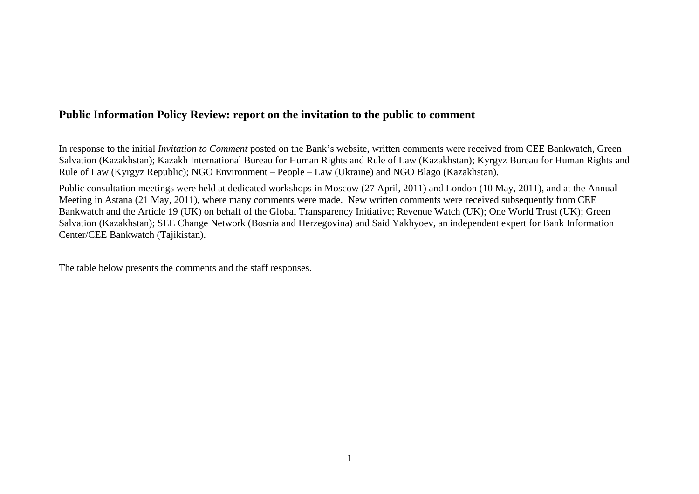## **Public Information Policy Review: report on the invitation to the public to comment**

In response to the initial *Invitation to Comment* posted on the Bank's website, written comments were received from CEE Bankwatch, Green Salvation (Kazakhstan); Kazakh International Bureau for Human Rights and Rule of Law (Kazakhstan); Kyrgyz Bureau for Human Rights and Rule of Law (Kyrgyz Republic); NGO Environment – People – Law (Ukraine) and NGO Blago (Kazakhstan).

Public consultation meetings were held at dedicated workshops in Moscow (27 April, 2011) and London (10 May, 2011), and at the Annual Meeting in Astana (21 May, 2011), where many comments were made. New written comments were received subsequently from CEE Bankwatch and the Article 19 (UK) on behalf of the Global Transparency Initiative; Revenue Watch (UK); One World Trust (UK); Green Salvation (Kazakhstan); SEE Change Network (Bosnia and Herzegovina) and Said Yakhyoev, an independent expert for Bank Information Center/CEE Bankwatch (Tajikistan).

The table below presents the comments and the staff responses.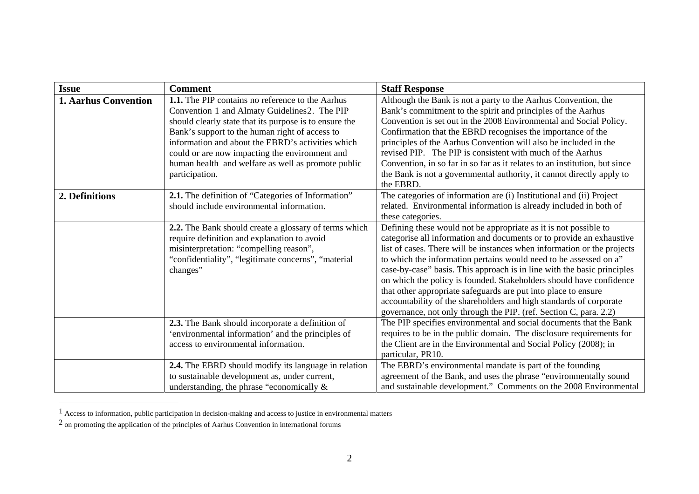| <b>Issue</b>                | <b>Comment</b>                                                                                                                                                                                                                                                                                                                                                                                     | <b>Staff Response</b>                                                                                                                                                                                                                                                                                                                                                                                                                                                                                                                                                                                                                                   |
|-----------------------------|----------------------------------------------------------------------------------------------------------------------------------------------------------------------------------------------------------------------------------------------------------------------------------------------------------------------------------------------------------------------------------------------------|---------------------------------------------------------------------------------------------------------------------------------------------------------------------------------------------------------------------------------------------------------------------------------------------------------------------------------------------------------------------------------------------------------------------------------------------------------------------------------------------------------------------------------------------------------------------------------------------------------------------------------------------------------|
| <b>1. Aarhus Convention</b> | <b>1.1.</b> The PIP contains no reference to the Aarhus<br>Convention 1 and Almaty Guidelines2. The PIP<br>should clearly state that its purpose is to ensure the<br>Bank's support to the human right of access to<br>information and about the EBRD's activities which<br>could or are now impacting the environment and<br>human health and welfare as well as promote public<br>participation. | Although the Bank is not a party to the Aarhus Convention, the<br>Bank's commitment to the spirit and principles of the Aarhus<br>Convention is set out in the 2008 Environmental and Social Policy.<br>Confirmation that the EBRD recognises the importance of the<br>principles of the Aarhus Convention will also be included in the<br>revised PIP. The PIP is consistent with much of the Aarhus<br>Convention, in so far in so far as it relates to an institution, but since<br>the Bank is not a governmental authority, it cannot directly apply to<br>the EBRD.                                                                               |
| 2. Definitions              | 2.1. The definition of "Categories of Information"<br>should include environmental information.                                                                                                                                                                                                                                                                                                    | The categories of information are (i) Institutional and (ii) Project<br>related. Environmental information is already included in both of<br>these categories.                                                                                                                                                                                                                                                                                                                                                                                                                                                                                          |
|                             | 2.2. The Bank should create a glossary of terms which<br>require definition and explanation to avoid<br>misinterpretation: "compelling reason",<br>"confidentiality", "legitimate concerns", "material"<br>changes"                                                                                                                                                                                | Defining these would not be appropriate as it is not possible to<br>categorise all information and documents or to provide an exhaustive<br>list of cases. There will be instances when information or the projects<br>to which the information pertains would need to be assessed on a"<br>case-by-case" basis. This approach is in line with the basic principles<br>on which the policy is founded. Stakeholders should have confidence<br>that other appropriate safeguards are put into place to ensure<br>accountability of the shareholders and high standards of corporate<br>governance, not only through the PIP. (ref. Section C, para. 2.2) |
|                             | 2.3. The Bank should incorporate a definition of<br>'environmental information' and the principles of<br>access to environmental information.                                                                                                                                                                                                                                                      | The PIP specifies environmental and social documents that the Bank<br>requires to be in the public domain. The disclosure requirements for<br>the Client are in the Environmental and Social Policy (2008); in<br>particular, PR10.                                                                                                                                                                                                                                                                                                                                                                                                                     |
|                             | 2.4. The EBRD should modify its language in relation<br>to sustainable development as, under current,<br>understanding, the phrase "economically $\&$                                                                                                                                                                                                                                              | The EBRD's environmental mandate is part of the founding<br>agreement of the Bank, and uses the phrase "environmentally sound<br>and sustainable development." Comments on the 2008 Environmental                                                                                                                                                                                                                                                                                                                                                                                                                                                       |

<span id="page-2-0"></span> $<sup>1</sup>$  Access to information, public participation in decision-making and access to justice in environmental matters</sup>

<span id="page-2-1"></span> $<sup>2</sup>$  on promoting the application of the principles of Aarhus Convention in international forums</sup>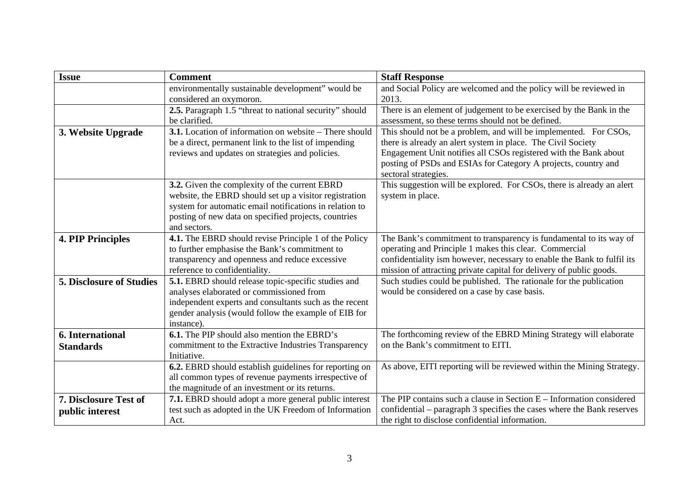| <b>Issue</b>                    | <b>Comment</b>                                                                                  | <b>Staff Response</b>                                                                                                             |
|---------------------------------|-------------------------------------------------------------------------------------------------|-----------------------------------------------------------------------------------------------------------------------------------|
|                                 | environmentally sustainable development" would be                                               | and Social Policy are welcomed and the policy will be reviewed in                                                                 |
|                                 | considered an oxymoron.                                                                         | 2013.                                                                                                                             |
|                                 | 2.5. Paragraph 1.5 "threat to national security" should                                         | There is an element of judgement to be exercised by the Bank in the                                                               |
|                                 | be clarified.                                                                                   | assessment, so these terms should not be defined.                                                                                 |
| 3. Website Upgrade              | <b>3.1.</b> Location of information on website – There should                                   | This should not be a problem, and will be implemented. For CSOs,                                                                  |
|                                 | be a direct, permanent link to the list of impending                                            | there is already an alert system in place. The Civil Society                                                                      |
|                                 | reviews and updates on strategies and policies.                                                 | Engagement Unit notifies all CSOs registered with the Bank about                                                                  |
|                                 |                                                                                                 | posting of PSDs and ESIAs for Category A projects, country and                                                                    |
|                                 |                                                                                                 | sectoral strategies.                                                                                                              |
|                                 | 3.2. Given the complexity of the current EBRD                                                   | This suggestion will be explored. For CSOs, there is already an alert                                                             |
|                                 | website, the EBRD should set up a visitor registration                                          | system in place.                                                                                                                  |
|                                 | system for automatic email notifications in relation to                                         |                                                                                                                                   |
|                                 | posting of new data on specified projects, countries                                            |                                                                                                                                   |
|                                 | and sectors.                                                                                    |                                                                                                                                   |
| <b>4. PIP Principles</b>        | 4.1. The EBRD should revise Principle 1 of the Policy                                           | The Bank's commitment to transparency is fundamental to its way of                                                                |
|                                 | to further emphasise the Bank's commitment to<br>transparency and openness and reduce excessive | operating and Principle 1 makes this clear. Commercial<br>confidentiality ism however, necessary to enable the Bank to fulfil its |
|                                 | reference to confidentiality.                                                                   | mission of attracting private capital for delivery of public goods.                                                               |
| <b>5. Disclosure of Studies</b> | 5.1. EBRD should release topic-specific studies and                                             | Such studies could be published. The rationale for the publication                                                                |
|                                 | analyses elaborated or commissioned from                                                        | would be considered on a case by case basis.                                                                                      |
|                                 | independent experts and consultants such as the recent                                          |                                                                                                                                   |
|                                 | gender analysis (would follow the example of EIB for                                            |                                                                                                                                   |
|                                 | instance).                                                                                      |                                                                                                                                   |
| <b>6.</b> International         | <b>6.1.</b> The PIP should also mention the EBRD's                                              | The forthcoming review of the EBRD Mining Strategy will elaborate                                                                 |
| <b>Standards</b>                | commitment to the Extractive Industries Transparency                                            | on the Bank's commitment to EITI.                                                                                                 |
|                                 | Initiative.                                                                                     |                                                                                                                                   |
|                                 | 6.2. EBRD should establish guidelines for reporting on                                          | As above, EITI reporting will be reviewed within the Mining Strategy.                                                             |
|                                 | all common types of revenue payments irrespective of                                            |                                                                                                                                   |
|                                 | the magnitude of an investment or its returns.                                                  |                                                                                                                                   |
| <b>7. Disclosure Test of</b>    | 7.1. EBRD should adopt a more general public interest                                           | The PIP contains such a clause in Section $E -$ Information considered                                                            |
| public interest                 | test such as adopted in the UK Freedom of Information                                           | confidential – paragraph 3 specifies the cases where the Bank reserves                                                            |
|                                 | Act.                                                                                            | the right to disclose confidential information.                                                                                   |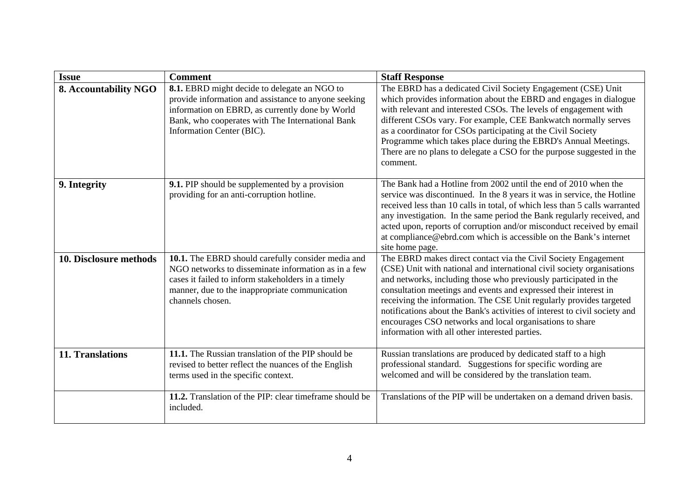| <b>Issue</b>                 | <b>Comment</b>                                                                                                                                                                                                                           | <b>Staff Response</b>                                                                                                                                                                                                                                                                                                                                                                                                                                                                                                                               |
|------------------------------|------------------------------------------------------------------------------------------------------------------------------------------------------------------------------------------------------------------------------------------|-----------------------------------------------------------------------------------------------------------------------------------------------------------------------------------------------------------------------------------------------------------------------------------------------------------------------------------------------------------------------------------------------------------------------------------------------------------------------------------------------------------------------------------------------------|
| <b>8. Accountability NGO</b> | 8.1. EBRD might decide to delegate an NGO to<br>provide information and assistance to anyone seeking<br>information on EBRD, as currently done by World<br>Bank, who cooperates with The International Bank<br>Information Center (BIC). | The EBRD has a dedicated Civil Society Engagement (CSE) Unit<br>which provides information about the EBRD and engages in dialogue<br>with relevant and interested CSOs. The levels of engagement with<br>different CSOs vary. For example, CEE Bankwatch normally serves<br>as a coordinator for CSOs participating at the Civil Society<br>Programme which takes place during the EBRD's Annual Meetings.<br>There are no plans to delegate a CSO for the purpose suggested in the<br>comment.                                                     |
| 9. Integrity                 | <b>9.1.</b> PIP should be supplemented by a provision<br>providing for an anti-corruption hotline.                                                                                                                                       | The Bank had a Hotline from 2002 until the end of 2010 when the<br>service was discontinued. In the 8 years it was in service, the Hotline<br>received less than 10 calls in total, of which less than 5 calls warranted<br>any investigation. In the same period the Bank regularly received, and<br>acted upon, reports of corruption and/or misconduct received by email<br>at compliance@ebrd.com which is accessible on the Bank's internet<br>site home page.                                                                                 |
| 10. Disclosure methods       | 10.1. The EBRD should carefully consider media and<br>NGO networks to disseminate information as in a few<br>cases it failed to inform stakeholders in a timely<br>manner, due to the inappropriate communication<br>channels chosen.    | The EBRD makes direct contact via the Civil Society Engagement<br>(CSE) Unit with national and international civil society organisations<br>and networks, including those who previously participated in the<br>consultation meetings and events and expressed their interest in<br>receiving the information. The CSE Unit regularly provides targeted<br>notifications about the Bank's activities of interest to civil society and<br>encourages CSO networks and local organisations to share<br>information with all other interested parties. |
| 11. Translations             | 11.1. The Russian translation of the PIP should be<br>revised to better reflect the nuances of the English<br>terms used in the specific context.                                                                                        | Russian translations are produced by dedicated staff to a high<br>professional standard. Suggestions for specific wording are<br>welcomed and will be considered by the translation team.                                                                                                                                                                                                                                                                                                                                                           |
|                              | 11.2. Translation of the PIP: clear timeframe should be<br>included.                                                                                                                                                                     | Translations of the PIP will be undertaken on a demand driven basis.                                                                                                                                                                                                                                                                                                                                                                                                                                                                                |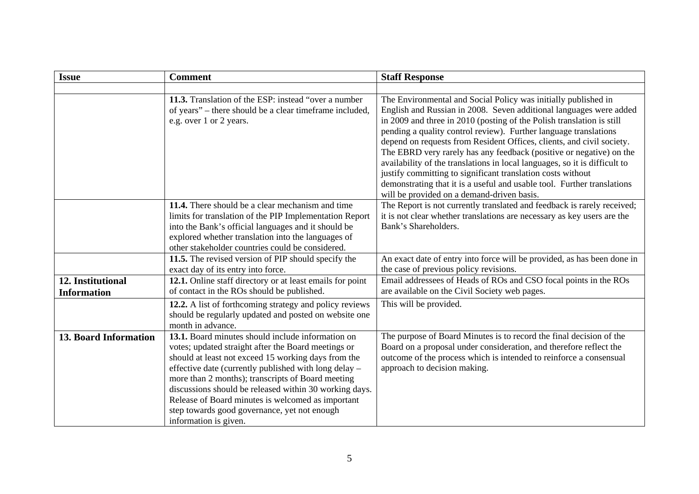| <b>Issue</b>                            | <b>Comment</b>                                                                                                                                                                                                                                                                                                                                                                                                                                                        | <b>Staff Response</b>                                                                                                                                                                                                                                                                                                                                                                                                                                                                                                                                                                                                                                                                                   |
|-----------------------------------------|-----------------------------------------------------------------------------------------------------------------------------------------------------------------------------------------------------------------------------------------------------------------------------------------------------------------------------------------------------------------------------------------------------------------------------------------------------------------------|---------------------------------------------------------------------------------------------------------------------------------------------------------------------------------------------------------------------------------------------------------------------------------------------------------------------------------------------------------------------------------------------------------------------------------------------------------------------------------------------------------------------------------------------------------------------------------------------------------------------------------------------------------------------------------------------------------|
|                                         |                                                                                                                                                                                                                                                                                                                                                                                                                                                                       |                                                                                                                                                                                                                                                                                                                                                                                                                                                                                                                                                                                                                                                                                                         |
|                                         | 11.3. Translation of the ESP: instead "over a number<br>of years" – there should be a clear timeframe included,<br>e.g. over 1 or 2 years.                                                                                                                                                                                                                                                                                                                            | The Environmental and Social Policy was initially published in<br>English and Russian in 2008. Seven additional languages were added<br>in 2009 and three in 2010 (posting of the Polish translation is still<br>pending a quality control review). Further language translations<br>depend on requests from Resident Offices, clients, and civil society.<br>The EBRD very rarely has any feedback (positive or negative) on the<br>availability of the translations in local languages, so it is difficult to<br>justify committing to significant translation costs without<br>demonstrating that it is a useful and usable tool. Further translations<br>will be provided on a demand-driven basis. |
|                                         | 11.4. There should be a clear mechanism and time<br>limits for translation of the PIP Implementation Report<br>into the Bank's official languages and it should be<br>explored whether translation into the languages of<br>other stakeholder countries could be considered.                                                                                                                                                                                          | The Report is not currently translated and feedback is rarely received;<br>it is not clear whether translations are necessary as key users are the<br>Bank's Shareholders.                                                                                                                                                                                                                                                                                                                                                                                                                                                                                                                              |
|                                         | 11.5. The revised version of PIP should specify the<br>exact day of its entry into force.                                                                                                                                                                                                                                                                                                                                                                             | An exact date of entry into force will be provided, as has been done in<br>the case of previous policy revisions.                                                                                                                                                                                                                                                                                                                                                                                                                                                                                                                                                                                       |
| 12. Institutional<br><b>Information</b> | 12.1. Online staff directory or at least emails for point<br>of contact in the ROs should be published.                                                                                                                                                                                                                                                                                                                                                               | Email addressees of Heads of ROs and CSO focal points in the ROs<br>are available on the Civil Society web pages.                                                                                                                                                                                                                                                                                                                                                                                                                                                                                                                                                                                       |
|                                         | 12.2. A list of forthcoming strategy and policy reviews<br>should be regularly updated and posted on website one<br>month in advance.                                                                                                                                                                                                                                                                                                                                 | This will be provided.                                                                                                                                                                                                                                                                                                                                                                                                                                                                                                                                                                                                                                                                                  |
| <b>13. Board Information</b>            | 13.1. Board minutes should include information on<br>votes; updated straight after the Board meetings or<br>should at least not exceed 15 working days from the<br>effective date (currently published with long delay -<br>more than 2 months); transcripts of Board meeting<br>discussions should be released within 30 working days.<br>Release of Board minutes is welcomed as important<br>step towards good governance, yet not enough<br>information is given. | The purpose of Board Minutes is to record the final decision of the<br>Board on a proposal under consideration, and therefore reflect the<br>outcome of the process which is intended to reinforce a consensual<br>approach to decision making.                                                                                                                                                                                                                                                                                                                                                                                                                                                         |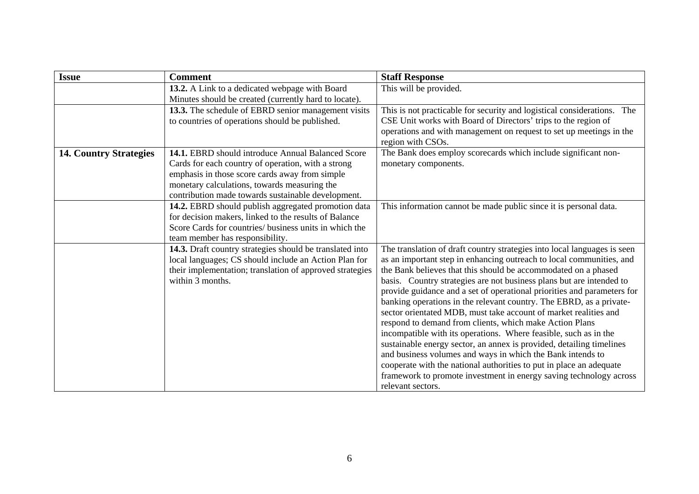| <b>Issue</b>                  | <b>Comment</b>                                                                                     | <b>Staff Response</b>                                                                                                              |
|-------------------------------|----------------------------------------------------------------------------------------------------|------------------------------------------------------------------------------------------------------------------------------------|
|                               | 13.2. A Link to a dedicated webpage with Board                                                     | This will be provided.                                                                                                             |
|                               | Minutes should be created (currently hard to locate).                                              |                                                                                                                                    |
|                               | 13.3. The schedule of EBRD senior management visits                                                | This is not practicable for security and logistical considerations. The                                                            |
|                               | to countries of operations should be published.                                                    | CSE Unit works with Board of Directors' trips to the region of                                                                     |
|                               |                                                                                                    | operations and with management on request to set up meetings in the                                                                |
|                               |                                                                                                    | region with CSOs.                                                                                                                  |
| <b>14. Country Strategies</b> | 14.1. EBRD should introduce Annual Balanced Score                                                  | The Bank does employ scorecards which include significant non-                                                                     |
|                               | Cards for each country of operation, with a strong                                                 | monetary components.                                                                                                               |
|                               | emphasis in those score cards away from simple                                                     |                                                                                                                                    |
|                               | monetary calculations, towards measuring the<br>contribution made towards sustainable development. |                                                                                                                                    |
|                               | 14.2. EBRD should publish aggregated promotion data                                                | This information cannot be made public since it is personal data.                                                                  |
|                               | for decision makers, linked to the results of Balance                                              |                                                                                                                                    |
|                               | Score Cards for countries/ business units in which the                                             |                                                                                                                                    |
|                               | team member has responsibility.                                                                    |                                                                                                                                    |
|                               | 14.3. Draft country strategies should be translated into                                           | The translation of draft country strategies into local languages is seen                                                           |
|                               | local languages; CS should include an Action Plan for                                              | as an important step in enhancing outreach to local communities, and                                                               |
|                               | their implementation; translation of approved strategies                                           | the Bank believes that this should be accommodated on a phased                                                                     |
|                               | within 3 months.                                                                                   | basis. Country strategies are not business plans but are intended to                                                               |
|                               |                                                                                                    | provide guidance and a set of operational priorities and parameters for                                                            |
|                               |                                                                                                    | banking operations in the relevant country. The EBRD, as a private-                                                                |
|                               |                                                                                                    | sector orientated MDB, must take account of market realities and                                                                   |
|                               |                                                                                                    | respond to demand from clients, which make Action Plans                                                                            |
|                               |                                                                                                    | incompatible with its operations. Where feasible, such as in the                                                                   |
|                               |                                                                                                    | sustainable energy sector, an annex is provided, detailing timelines<br>and business volumes and ways in which the Bank intends to |
|                               |                                                                                                    | cooperate with the national authorities to put in place an adequate                                                                |
|                               |                                                                                                    | framework to promote investment in energy saving technology across                                                                 |
|                               |                                                                                                    | relevant sectors.                                                                                                                  |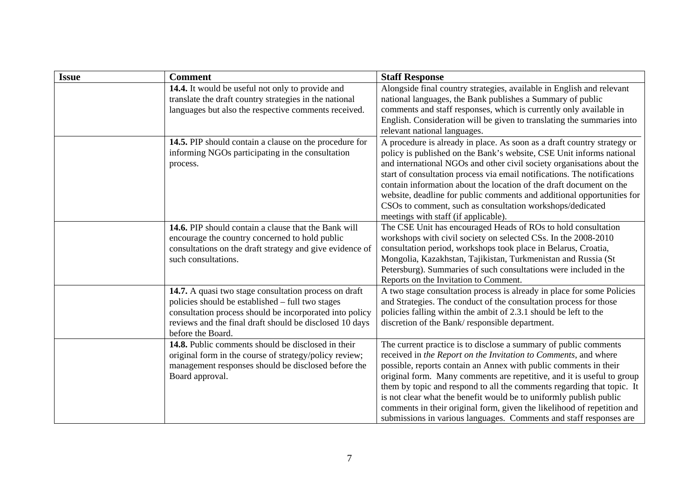| <b>Issue</b> | <b>Comment</b>                                                                                                                                                                                                                                       | <b>Staff Response</b>                                                                                                                                                                                                                                                                                                                                                                                                                                                                                                                                                              |
|--------------|------------------------------------------------------------------------------------------------------------------------------------------------------------------------------------------------------------------------------------------------------|------------------------------------------------------------------------------------------------------------------------------------------------------------------------------------------------------------------------------------------------------------------------------------------------------------------------------------------------------------------------------------------------------------------------------------------------------------------------------------------------------------------------------------------------------------------------------------|
|              | 14.4. It would be useful not only to provide and<br>translate the draft country strategies in the national<br>languages but also the respective comments received.                                                                                   | Alongside final country strategies, available in English and relevant<br>national languages, the Bank publishes a Summary of public<br>comments and staff responses, which is currently only available in<br>English. Consideration will be given to translating the summaries into<br>relevant national languages.                                                                                                                                                                                                                                                                |
|              | 14.5. PIP should contain a clause on the procedure for<br>informing NGOs participating in the consultation<br>process.                                                                                                                               | A procedure is already in place. As soon as a draft country strategy or<br>policy is published on the Bank's website, CSE Unit informs national<br>and international NGOs and other civil society organisations about the<br>start of consultation process via email notifications. The notifications<br>contain information about the location of the draft document on the<br>website, deadline for public comments and additional opportunities for<br>CSOs to comment, such as consultation workshops/dedicated<br>meetings with staff (if applicable).                        |
|              | 14.6. PIP should contain a clause that the Bank will<br>encourage the country concerned to hold public<br>consultations on the draft strategy and give evidence of<br>such consultations.                                                            | The CSE Unit has encouraged Heads of ROs to hold consultation<br>workshops with civil society on selected CSs. In the 2008-2010<br>consultation period, workshops took place in Belarus, Croatia,<br>Mongolia, Kazakhstan, Tajikistan, Turkmenistan and Russia (St<br>Petersburg). Summaries of such consultations were included in the<br>Reports on the Invitation to Comment.                                                                                                                                                                                                   |
|              | 14.7. A quasi two stage consultation process on draft<br>policies should be established – full two stages<br>consultation process should be incorporated into policy<br>reviews and the final draft should be disclosed 10 days<br>before the Board. | A two stage consultation process is already in place for some Policies<br>and Strategies. The conduct of the consultation process for those<br>policies falling within the ambit of 2.3.1 should be left to the<br>discretion of the Bank/responsible department.                                                                                                                                                                                                                                                                                                                  |
|              | 14.8. Public comments should be disclosed in their<br>original form in the course of strategy/policy review;<br>management responses should be disclosed before the<br>Board approval.                                                               | The current practice is to disclose a summary of public comments<br>received in the Report on the Invitation to Comments, and where<br>possible, reports contain an Annex with public comments in their<br>original form. Many comments are repetitive, and it is useful to group<br>them by topic and respond to all the comments regarding that topic. It<br>is not clear what the benefit would be to uniformly publish public<br>comments in their original form, given the likelihood of repetition and<br>submissions in various languages. Comments and staff responses are |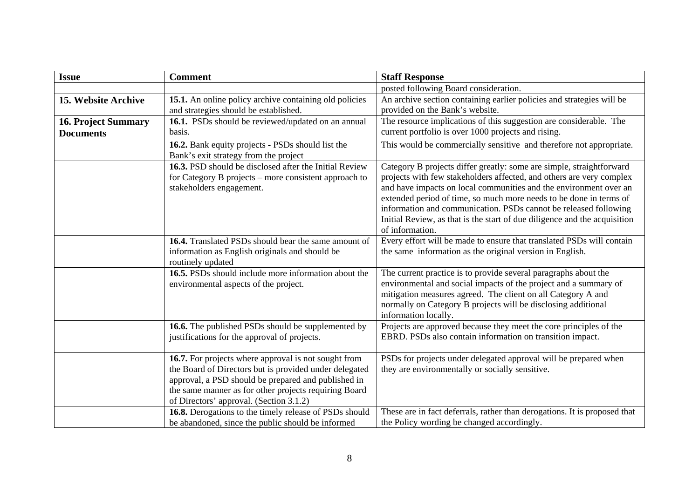| <b>Issue</b>                                   | <b>Comment</b>                                                                                                                                                                                                                                                            | <b>Staff Response</b>                                                                                                                                                                                                                                                                                                                                                                                                                                       |
|------------------------------------------------|---------------------------------------------------------------------------------------------------------------------------------------------------------------------------------------------------------------------------------------------------------------------------|-------------------------------------------------------------------------------------------------------------------------------------------------------------------------------------------------------------------------------------------------------------------------------------------------------------------------------------------------------------------------------------------------------------------------------------------------------------|
|                                                |                                                                                                                                                                                                                                                                           | posted following Board consideration.                                                                                                                                                                                                                                                                                                                                                                                                                       |
| 15. Website Archive                            | 15.1. An online policy archive containing old policies<br>and strategies should be established.                                                                                                                                                                           | An archive section containing earlier policies and strategies will be<br>provided on the Bank's website.                                                                                                                                                                                                                                                                                                                                                    |
| <b>16. Project Summary</b><br><b>Documents</b> | 16.1. PSDs should be reviewed/updated on an annual<br>basis.                                                                                                                                                                                                              | The resource implications of this suggestion are considerable. The<br>current portfolio is over 1000 projects and rising.                                                                                                                                                                                                                                                                                                                                   |
|                                                | 16.2. Bank equity projects - PSDs should list the<br>Bank's exit strategy from the project                                                                                                                                                                                | This would be commercially sensitive and therefore not appropriate.                                                                                                                                                                                                                                                                                                                                                                                         |
|                                                | 16.3. PSD should be disclosed after the Initial Review<br>for Category B projects - more consistent approach to<br>stakeholders engagement.                                                                                                                               | Category B projects differ greatly: some are simple, straightforward<br>projects with few stakeholders affected, and others are very complex<br>and have impacts on local communities and the environment over an<br>extended period of time, so much more needs to be done in terms of<br>information and communication. PSDs cannot be released following<br>Initial Review, as that is the start of due diligence and the acquisition<br>of information. |
|                                                | 16.4. Translated PSDs should bear the same amount of<br>information as English originals and should be<br>routinely updated                                                                                                                                               | Every effort will be made to ensure that translated PSDs will contain<br>the same information as the original version in English.                                                                                                                                                                                                                                                                                                                           |
|                                                | 16.5. PSDs should include more information about the<br>environmental aspects of the project.                                                                                                                                                                             | The current practice is to provide several paragraphs about the<br>environmental and social impacts of the project and a summary of<br>mitigation measures agreed. The client on all Category A and<br>normally on Category B projects will be disclosing additional<br>information locally.                                                                                                                                                                |
|                                                | 16.6. The published PSDs should be supplemented by<br>justifications for the approval of projects.                                                                                                                                                                        | Projects are approved because they meet the core principles of the<br>EBRD. PSDs also contain information on transition impact.                                                                                                                                                                                                                                                                                                                             |
|                                                | 16.7. For projects where approval is not sought from<br>the Board of Directors but is provided under delegated<br>approval, a PSD should be prepared and published in<br>the same manner as for other projects requiring Board<br>of Directors' approval. (Section 3.1.2) | PSDs for projects under delegated approval will be prepared when<br>they are environmentally or socially sensitive.                                                                                                                                                                                                                                                                                                                                         |
|                                                | 16.8. Derogations to the timely release of PSDs should<br>be abandoned, since the public should be informed                                                                                                                                                               | These are in fact deferrals, rather than derogations. It is proposed that<br>the Policy wording be changed accordingly.                                                                                                                                                                                                                                                                                                                                     |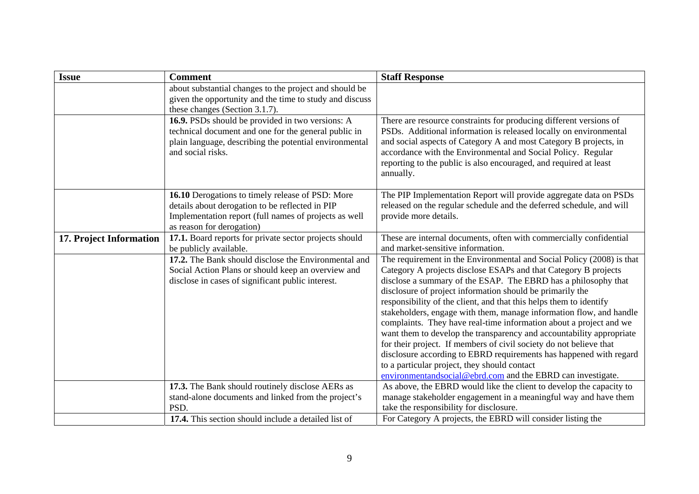| <b>Issue</b>            | <b>Comment</b>                                                                                                                                                                            | <b>Staff Response</b>                                                                                                                                                                                                                                                                                                                                                                                                                                                                                                                                                                                                                                                                                                                                                                                                         |
|-------------------------|-------------------------------------------------------------------------------------------------------------------------------------------------------------------------------------------|-------------------------------------------------------------------------------------------------------------------------------------------------------------------------------------------------------------------------------------------------------------------------------------------------------------------------------------------------------------------------------------------------------------------------------------------------------------------------------------------------------------------------------------------------------------------------------------------------------------------------------------------------------------------------------------------------------------------------------------------------------------------------------------------------------------------------------|
|                         | about substantial changes to the project and should be<br>given the opportunity and the time to study and discuss<br>these changes (Section 3.1.7).                                       |                                                                                                                                                                                                                                                                                                                                                                                                                                                                                                                                                                                                                                                                                                                                                                                                                               |
|                         | 16.9. PSDs should be provided in two versions: A<br>technical document and one for the general public in<br>plain language, describing the potential environmental<br>and social risks.   | There are resource constraints for producing different versions of<br>PSDs. Additional information is released locally on environmental<br>and social aspects of Category A and most Category B projects, in<br>accordance with the Environmental and Social Policy. Regular<br>reporting to the public is also encouraged, and required at least<br>annually.                                                                                                                                                                                                                                                                                                                                                                                                                                                                |
|                         | 16.10 Derogations to timely release of PSD: More<br>details about derogation to be reflected in PIP<br>Implementation report (full names of projects as well<br>as reason for derogation) | The PIP Implementation Report will provide aggregate data on PSDs<br>released on the regular schedule and the deferred schedule, and will<br>provide more details.                                                                                                                                                                                                                                                                                                                                                                                                                                                                                                                                                                                                                                                            |
| 17. Project Information | 17.1. Board reports for private sector projects should<br>be publicly available.                                                                                                          | These are internal documents, often with commercially confidential<br>and market-sensitive information.                                                                                                                                                                                                                                                                                                                                                                                                                                                                                                                                                                                                                                                                                                                       |
|                         | 17.2. The Bank should disclose the Environmental and<br>Social Action Plans or should keep an overview and<br>disclose in cases of significant public interest.                           | The requirement in the Environmental and Social Policy (2008) is that<br>Category A projects disclose ESAPs and that Category B projects<br>disclose a summary of the ESAP. The EBRD has a philosophy that<br>disclosure of project information should be primarily the<br>responsibility of the client, and that this helps them to identify<br>stakeholders, engage with them, manage information flow, and handle<br>complaints. They have real-time information about a project and we<br>want them to develop the transparency and accountability appropriate<br>for their project. If members of civil society do not believe that<br>disclosure according to EBRD requirements has happened with regard<br>to a particular project, they should contact<br>environmentandsocial@ebrd.com and the EBRD can investigate. |
|                         | 17.3. The Bank should routinely disclose AERs as<br>stand-alone documents and linked from the project's                                                                                   | As above, the EBRD would like the client to develop the capacity to<br>manage stakeholder engagement in a meaningful way and have them                                                                                                                                                                                                                                                                                                                                                                                                                                                                                                                                                                                                                                                                                        |
|                         | PSD.                                                                                                                                                                                      | take the responsibility for disclosure.                                                                                                                                                                                                                                                                                                                                                                                                                                                                                                                                                                                                                                                                                                                                                                                       |
|                         | 17.4. This section should include a detailed list of                                                                                                                                      | For Category A projects, the EBRD will consider listing the                                                                                                                                                                                                                                                                                                                                                                                                                                                                                                                                                                                                                                                                                                                                                                   |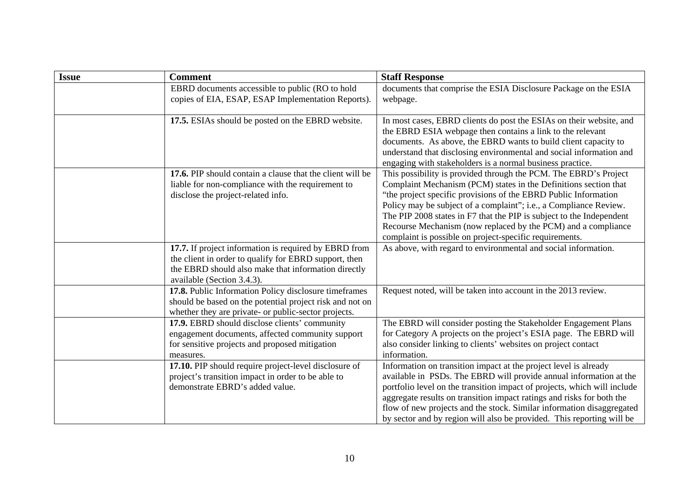| <b>Issue</b> | <b>Comment</b>                                                                                                                                                                                      | <b>Staff Response</b>                                                                                                                                                                                                                                                                                                                                                                                                                                                            |
|--------------|-----------------------------------------------------------------------------------------------------------------------------------------------------------------------------------------------------|----------------------------------------------------------------------------------------------------------------------------------------------------------------------------------------------------------------------------------------------------------------------------------------------------------------------------------------------------------------------------------------------------------------------------------------------------------------------------------|
|              | EBRD documents accessible to public (RO to hold<br>copies of EIA, ESAP, ESAP Implementation Reports).                                                                                               | documents that comprise the ESIA Disclosure Package on the ESIA<br>webpage.                                                                                                                                                                                                                                                                                                                                                                                                      |
|              | 17.5. ESIAs should be posted on the EBRD website.                                                                                                                                                   | In most cases, EBRD clients do post the ESIAs on their website, and<br>the EBRD ESIA webpage then contains a link to the relevant<br>documents. As above, the EBRD wants to build client capacity to<br>understand that disclosing environmental and social information and<br>engaging with stakeholders is a normal business practice.                                                                                                                                         |
|              | 17.6. PIP should contain a clause that the client will be<br>liable for non-compliance with the requirement to<br>disclose the project-related info.                                                | This possibility is provided through the PCM. The EBRD's Project<br>Complaint Mechanism (PCM) states in the Definitions section that<br>"the project specific provisions of the EBRD Public Information<br>Policy may be subject of a complaint"; i.e., a Compliance Review.<br>The PIP 2008 states in F7 that the PIP is subject to the Independent<br>Recourse Mechanism (now replaced by the PCM) and a compliance<br>complaint is possible on project-specific requirements. |
|              | 17.7. If project information is required by EBRD from<br>the client in order to qualify for EBRD support, then<br>the EBRD should also make that information directly<br>available (Section 3.4.3). | As above, with regard to environmental and social information.                                                                                                                                                                                                                                                                                                                                                                                                                   |
|              | 17.8. Public Information Policy disclosure timeframes<br>should be based on the potential project risk and not on<br>whether they are private- or public-sector projects.                           | Request noted, will be taken into account in the 2013 review.                                                                                                                                                                                                                                                                                                                                                                                                                    |
|              | 17.9. EBRD should disclose clients' community<br>engagement documents, affected community support<br>for sensitive projects and proposed mitigation<br>measures.                                    | The EBRD will consider posting the Stakeholder Engagement Plans<br>for Category A projects on the project's ESIA page. The EBRD will<br>also consider linking to clients' websites on project contact<br>information.                                                                                                                                                                                                                                                            |
|              | 17.10. PIP should require project-level disclosure of<br>project's transition impact in order to be able to<br>demonstrate EBRD's added value.                                                      | Information on transition impact at the project level is already<br>available in PSDs. The EBRD will provide annual information at the<br>portfolio level on the transition impact of projects, which will include<br>aggregate results on transition impact ratings and risks for both the<br>flow of new projects and the stock. Similar information disaggregated<br>by sector and by region will also be provided. This reporting will be                                    |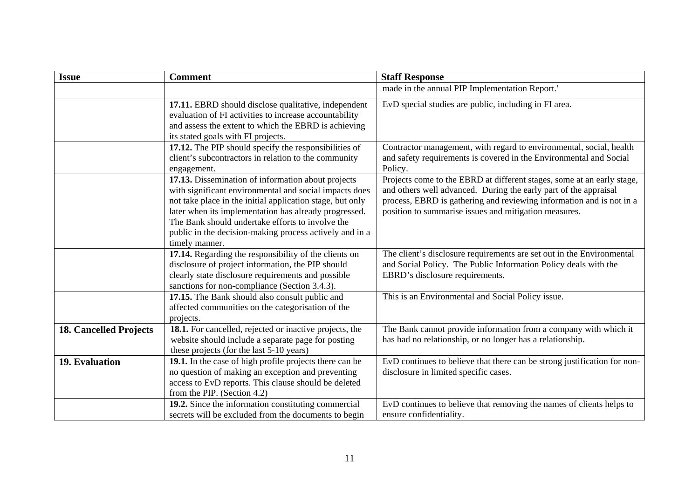| <b>Issue</b>                  | <b>Comment</b>                                                                                                                                                                                                                                                                                                                                                      | <b>Staff Response</b>                                                                                                                                                                                                                                                       |
|-------------------------------|---------------------------------------------------------------------------------------------------------------------------------------------------------------------------------------------------------------------------------------------------------------------------------------------------------------------------------------------------------------------|-----------------------------------------------------------------------------------------------------------------------------------------------------------------------------------------------------------------------------------------------------------------------------|
|                               |                                                                                                                                                                                                                                                                                                                                                                     | made in the annual PIP Implementation Report.'                                                                                                                                                                                                                              |
|                               | 17.11. EBRD should disclose qualitative, independent<br>evaluation of FI activities to increase accountability<br>and assess the extent to which the EBRD is achieving<br>its stated goals with FI projects.                                                                                                                                                        | EvD special studies are public, including in FI area.                                                                                                                                                                                                                       |
|                               | 17.12. The PIP should specify the responsibilities of<br>client's subcontractors in relation to the community<br>engagement.                                                                                                                                                                                                                                        | Contractor management, with regard to environmental, social, health<br>and safety requirements is covered in the Environmental and Social<br>Policy.                                                                                                                        |
|                               | 17.13. Dissemination of information about projects<br>with significant environmental and social impacts does<br>not take place in the initial application stage, but only<br>later when its implementation has already progressed.<br>The Bank should undertake efforts to involve the<br>public in the decision-making process actively and in a<br>timely manner. | Projects come to the EBRD at different stages, some at an early stage,<br>and others well advanced. During the early part of the appraisal<br>process, EBRD is gathering and reviewing information and is not in a<br>position to summarise issues and mitigation measures. |
|                               | 17.14. Regarding the responsibility of the clients on<br>disclosure of project information, the PIP should<br>clearly state disclosure requirements and possible<br>sanctions for non-compliance (Section 3.4.3).                                                                                                                                                   | The client's disclosure requirements are set out in the Environmental<br>and Social Policy. The Public Information Policy deals with the<br>EBRD's disclosure requirements.                                                                                                 |
|                               | 17.15. The Bank should also consult public and<br>affected communities on the categorisation of the<br>projects.                                                                                                                                                                                                                                                    | This is an Environmental and Social Policy issue.                                                                                                                                                                                                                           |
| <b>18. Cancelled Projects</b> | 18.1. For cancelled, rejected or inactive projects, the<br>website should include a separate page for posting<br>these projects (for the last 5-10 years)                                                                                                                                                                                                           | The Bank cannot provide information from a company with which it<br>has had no relationship, or no longer has a relationship.                                                                                                                                               |
| 19. Evaluation                | 19.1. In the case of high profile projects there can be<br>no question of making an exception and preventing<br>access to EvD reports. This clause should be deleted<br>from the PIP. (Section 4.2)                                                                                                                                                                 | EvD continues to believe that there can be strong justification for non-<br>disclosure in limited specific cases.                                                                                                                                                           |
|                               | 19.2. Since the information constituting commercial<br>secrets will be excluded from the documents to begin                                                                                                                                                                                                                                                         | EvD continues to believe that removing the names of clients helps to<br>ensure confidentiality.                                                                                                                                                                             |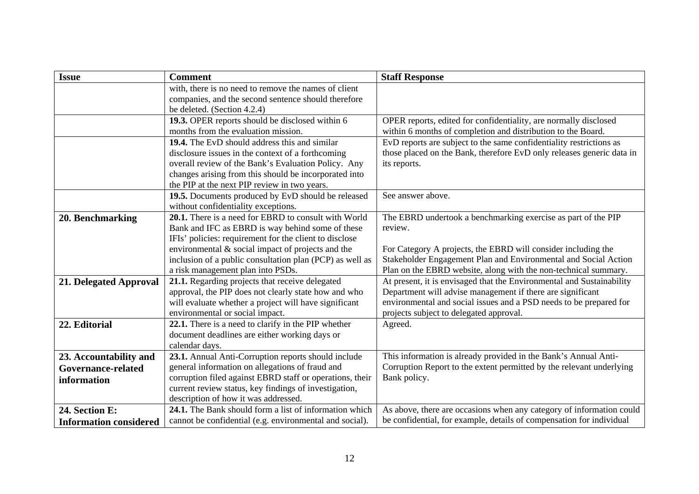| <b>Issue</b>                  | <b>Comment</b>                                                                                        | <b>Staff Response</b>                                                                                                                        |
|-------------------------------|-------------------------------------------------------------------------------------------------------|----------------------------------------------------------------------------------------------------------------------------------------------|
|                               | with, there is no need to remove the names of client                                                  |                                                                                                                                              |
|                               | companies, and the second sentence should therefore                                                   |                                                                                                                                              |
|                               | be deleted. (Section 4.2.4)                                                                           |                                                                                                                                              |
|                               | 19.3. OPER reports should be disclosed within 6                                                       | OPER reports, edited for confidentiality, are normally disclosed                                                                             |
|                               | months from the evaluation mission.                                                                   | within 6 months of completion and distribution to the Board.                                                                                 |
|                               | 19.4. The EvD should address this and similar                                                         | EvD reports are subject to the same confidentiality restrictions as<br>those placed on the Bank, therefore EvD only releases generic data in |
|                               | disclosure issues in the context of a forthcoming                                                     |                                                                                                                                              |
|                               | overall review of the Bank's Evaluation Policy. Any                                                   | its reports.                                                                                                                                 |
|                               | changes arising from this should be incorporated into<br>the PIP at the next PIP review in two years. |                                                                                                                                              |
|                               | 19.5. Documents produced by EvD should be released                                                    | See answer above.                                                                                                                            |
|                               | without confidentiality exceptions.                                                                   |                                                                                                                                              |
| 20. Benchmarking              | 20.1. There is a need for EBRD to consult with World                                                  | The EBRD undertook a benchmarking exercise as part of the PIP                                                                                |
|                               | Bank and IFC as EBRD is way behind some of these                                                      | review.                                                                                                                                      |
|                               | IFIs' policies: requirement for the client to disclose                                                |                                                                                                                                              |
|                               | environmental & social impact of projects and the                                                     | For Category A projects, the EBRD will consider including the                                                                                |
|                               | inclusion of a public consultation plan (PCP) as well as                                              | Stakeholder Engagement Plan and Environmental and Social Action                                                                              |
|                               | a risk management plan into PSDs.                                                                     | Plan on the EBRD website, along with the non-technical summary.                                                                              |
| 21. Delegated Approval        | 21.1. Regarding projects that receive delegated                                                       | At present, it is envisaged that the Environmental and Sustainability                                                                        |
|                               | approval, the PIP does not clearly state how and who                                                  | Department will advise management if there are significant                                                                                   |
|                               | will evaluate whether a project will have significant                                                 | environmental and social issues and a PSD needs to be prepared for                                                                           |
|                               | environmental or social impact.                                                                       | projects subject to delegated approval.                                                                                                      |
| 22. Editorial                 | 22.1. There is a need to clarify in the PIP whether                                                   | Agreed.                                                                                                                                      |
|                               | document deadlines are either working days or                                                         |                                                                                                                                              |
|                               | calendar days.                                                                                        |                                                                                                                                              |
| 23. Accountability and        | 23.1. Annual Anti-Corruption reports should include                                                   | This information is already provided in the Bank's Annual Anti-                                                                              |
| Governance-related            | general information on allegations of fraud and                                                       | Corruption Report to the extent permitted by the relevant underlying                                                                         |
| information                   | corruption filed against EBRD staff or operations, their                                              | Bank policy.                                                                                                                                 |
|                               | current review status, key findings of investigation,                                                 |                                                                                                                                              |
|                               | description of how it was addressed.                                                                  |                                                                                                                                              |
| 24. Section E:                | 24.1. The Bank should form a list of information which                                                | As above, there are occasions when any category of information could                                                                         |
| <b>Information considered</b> | cannot be confidential (e.g. environmental and social).                                               | be confidential, for example, details of compensation for individual                                                                         |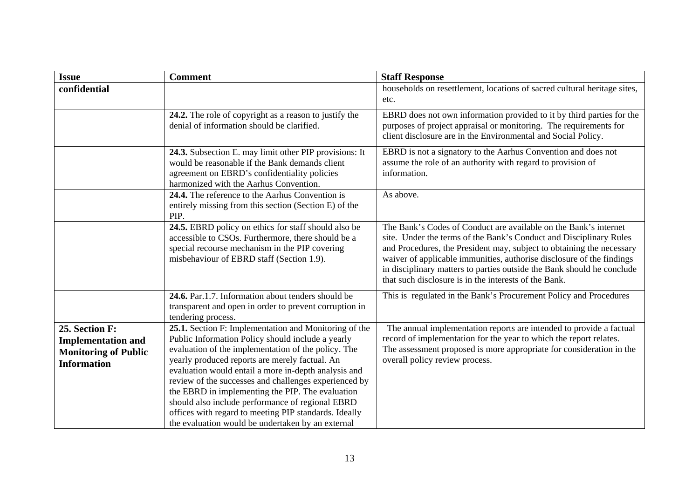| <b>Issue</b>                                                                                     | <b>Comment</b>                                                                                                                                                                                                                                                                                                                                                                                                                                                                                                                                             | <b>Staff Response</b>                                                                                                                                                                                                                                                                                                                                                                                                       |
|--------------------------------------------------------------------------------------------------|------------------------------------------------------------------------------------------------------------------------------------------------------------------------------------------------------------------------------------------------------------------------------------------------------------------------------------------------------------------------------------------------------------------------------------------------------------------------------------------------------------------------------------------------------------|-----------------------------------------------------------------------------------------------------------------------------------------------------------------------------------------------------------------------------------------------------------------------------------------------------------------------------------------------------------------------------------------------------------------------------|
| confidential                                                                                     |                                                                                                                                                                                                                                                                                                                                                                                                                                                                                                                                                            | households on resettlement, locations of sacred cultural heritage sites,<br>etc.                                                                                                                                                                                                                                                                                                                                            |
|                                                                                                  | 24.2. The role of copyright as a reason to justify the<br>denial of information should be clarified.                                                                                                                                                                                                                                                                                                                                                                                                                                                       | EBRD does not own information provided to it by third parties for the<br>purposes of project appraisal or monitoring. The requirements for<br>client disclosure are in the Environmental and Social Policy.                                                                                                                                                                                                                 |
|                                                                                                  | 24.3. Subsection E. may limit other PIP provisions: It<br>would be reasonable if the Bank demands client<br>agreement on EBRD's confidentiality policies<br>harmonized with the Aarhus Convention.                                                                                                                                                                                                                                                                                                                                                         | EBRD is not a signatory to the Aarhus Convention and does not<br>assume the role of an authority with regard to provision of<br>information.                                                                                                                                                                                                                                                                                |
|                                                                                                  | 24.4. The reference to the Aarhus Convention is<br>entirely missing from this section (Section E) of the<br>PIP.                                                                                                                                                                                                                                                                                                                                                                                                                                           | As above.                                                                                                                                                                                                                                                                                                                                                                                                                   |
|                                                                                                  | 24.5. EBRD policy on ethics for staff should also be<br>accessible to CSOs. Furthermore, there should be a<br>special recourse mechanism in the PIP covering<br>misbehaviour of EBRD staff (Section 1.9).                                                                                                                                                                                                                                                                                                                                                  | The Bank's Codes of Conduct are available on the Bank's internet<br>site. Under the terms of the Bank's Conduct and Disciplinary Rules<br>and Procedures, the President may, subject to obtaining the necessary<br>waiver of applicable immunities, authorise disclosure of the findings<br>in disciplinary matters to parties outside the Bank should he conclude<br>that such disclosure is in the interests of the Bank. |
|                                                                                                  | 24.6. Par.1.7. Information about tenders should be<br>transparent and open in order to prevent corruption in<br>tendering process.                                                                                                                                                                                                                                                                                                                                                                                                                         | This is regulated in the Bank's Procurement Policy and Procedures                                                                                                                                                                                                                                                                                                                                                           |
| 25. Section F:<br><b>Implementation and</b><br><b>Monitoring of Public</b><br><b>Information</b> | 25.1. Section F: Implementation and Monitoring of the<br>Public Information Policy should include a yearly<br>evaluation of the implementation of the policy. The<br>yearly produced reports are merely factual. An<br>evaluation would entail a more in-depth analysis and<br>review of the successes and challenges experienced by<br>the EBRD in implementing the PIP. The evaluation<br>should also include performance of regional EBRD<br>offices with regard to meeting PIP standards. Ideally<br>the evaluation would be undertaken by an external | The annual implementation reports are intended to provide a factual<br>record of implementation for the year to which the report relates.<br>The assessment proposed is more appropriate for consideration in the<br>overall policy review process.                                                                                                                                                                         |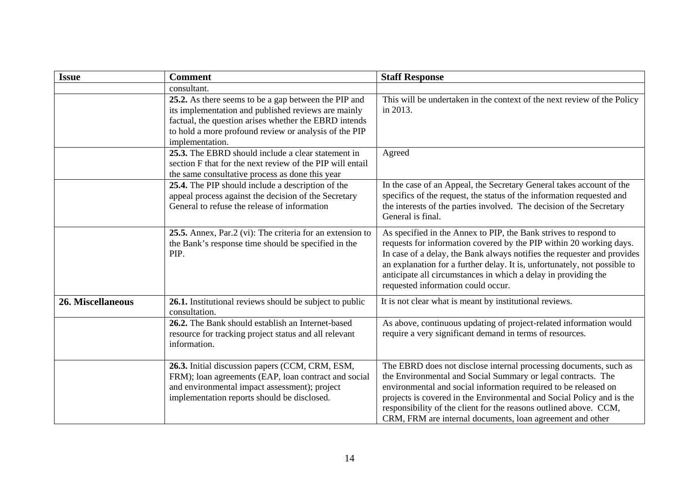| <b>Issue</b>             | <b>Comment</b>                                                                                                                                                                                                                                   | <b>Staff Response</b>                                                                                                                                                                                                                                                                                                                                                                                           |
|--------------------------|--------------------------------------------------------------------------------------------------------------------------------------------------------------------------------------------------------------------------------------------------|-----------------------------------------------------------------------------------------------------------------------------------------------------------------------------------------------------------------------------------------------------------------------------------------------------------------------------------------------------------------------------------------------------------------|
|                          | consultant.                                                                                                                                                                                                                                      |                                                                                                                                                                                                                                                                                                                                                                                                                 |
|                          | 25.2. As there seems to be a gap between the PIP and<br>its implementation and published reviews are mainly<br>factual, the question arises whether the EBRD intends<br>to hold a more profound review or analysis of the PIP<br>implementation. | This will be undertaken in the context of the next review of the Policy<br>in 2013.                                                                                                                                                                                                                                                                                                                             |
|                          | 25.3. The EBRD should include a clear statement in<br>section F that for the next review of the PIP will entail<br>the same consultative process as done this year                                                                               | Agreed                                                                                                                                                                                                                                                                                                                                                                                                          |
|                          | 25.4. The PIP should include a description of the<br>appeal process against the decision of the Secretary<br>General to refuse the release of information                                                                                        | In the case of an Appeal, the Secretary General takes account of the<br>specifics of the request, the status of the information requested and<br>the interests of the parties involved. The decision of the Secretary<br>General is final.                                                                                                                                                                      |
|                          | 25.5. Annex, Par.2 (vi): The criteria for an extension to<br>the Bank's response time should be specified in the<br>PIP.                                                                                                                         | As specified in the Annex to PIP, the Bank strives to respond to<br>requests for information covered by the PIP within 20 working days.<br>In case of a delay, the Bank always notifies the requester and provides<br>an explanation for a further delay. It is, unfortunately, not possible to<br>anticipate all circumstances in which a delay in providing the<br>requested information could occur.         |
| <b>26. Miscellaneous</b> | 26.1. Institutional reviews should be subject to public<br>consultation.                                                                                                                                                                         | It is not clear what is meant by institutional reviews.                                                                                                                                                                                                                                                                                                                                                         |
|                          | 26.2. The Bank should establish an Internet-based<br>resource for tracking project status and all relevant<br>information.                                                                                                                       | As above, continuous updating of project-related information would<br>require a very significant demand in terms of resources.                                                                                                                                                                                                                                                                                  |
|                          | 26.3. Initial discussion papers (CCM, CRM, ESM,<br>FRM); loan agreements (EAP, loan contract and social<br>and environmental impact assessment); project<br>implementation reports should be disclosed.                                          | The EBRD does not disclose internal processing documents, such as<br>the Environmental and Social Summary or legal contracts. The<br>environmental and social information required to be released on<br>projects is covered in the Environmental and Social Policy and is the<br>responsibility of the client for the reasons outlined above. CCM,<br>CRM, FRM are internal documents, loan agreement and other |